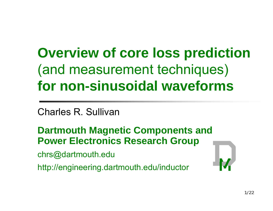# **Overview of core loss prediction**  (and measurement techniques) **for non-sinusoidal waveforms**

Charles R. Sullivan

**Dartmouth Magnetic Components and Power Electronics Research Grou p**

chrs@dartmouth.edu

http://engineering.dartmouth.edu/inductor

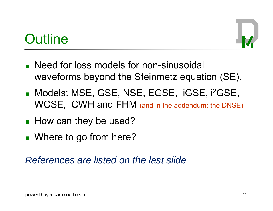## **Outline**

- **Need for loss models for non-sinusoidal** waveforms beyond the Steinmetz equation (SE).
- Models: MSE, GSE, NSE, EGSE, iGSE, i<sup>2</sup>GSE, WCSE, CWH and FHM (and in the addendum: the DNSE)
- $\blacksquare$  How can they be used?
- Where to go from here?

*References are listed on the last slide*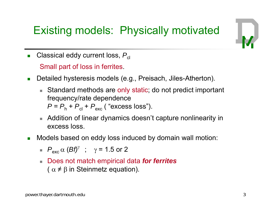### Existing models: Physically motivated



 $\mathcal{L}_{\mathcal{A}}$  $\blacksquare$  Classical eddy current loss,  $P_\mathrm{cl}$ 

Small part of loss in ferrites.

- $\overline{\phantom{a}}$  Detailed hysteresis models (e.g., Preisach, Jiles-Atherton).
	- $\blacksquare$  Standard methods are only static; do not predict important frequency/rate dependence  $P = P_h + P_{cl} + P_{exc}$  ( "excess loss").
	- $\blacksquare$  Addition of linear dynamics doesn't capture nonlinearity in excess loss.
- $\mathcal{L}_{\mathcal{A}}$  Models based on eddy loss induced by domain wall motion:
	- $P_{\rm exc} \propto (B f)^{\gamma}$  ;  $\gamma$  = 1.5 or 2
	- Does not match empirical data *for ferrites* (  $\alpha \neq \beta$  in Steinmetz equation).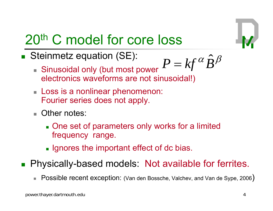

# 20th C model for core loss

 $\overline{\phantom{a}}$ Steinmetz equation (SE):  $P^2 \sim 1 \, \epsilon \alpha$ 

$$
P = kf^{\alpha} \hat{B}^{\beta}
$$

- $\bullet$  Sinusoidal only (but most power  $P = k f^\alpha \hat{B}$ electronics waveforms are not sinusoidal!)
- **Loss is a nonlinear phenomenon:** Fourier series does not apply.
- Other notes:
	- **Dianuary 10 and 7 and 7 and 7 and 7 and 7 and 7 and 7 and 7 and 7 and 7 and 7 and 7 and 7 and 7 and 7 and 7 and 7 and 7 and 7 and 7 and 7 and 7 and 7 and 7 and 7 and 7 and 7 and 7 and 7 and 7 and 7 and 7 and 7 and 7 and 7** frequency range.
	- $\blacksquare$  Ignores the important effect of dc bias.
- **Physically-based models: Not available for ferrites.** 
	- $\overline{\phantom{a}}$ Possible recent exception: (Van den Bossche, Valchev, and Van de Sype, 2006)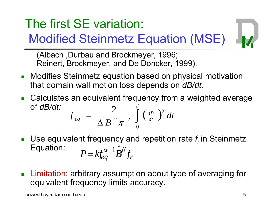### The first SE variation:

# Modified Steinmetz Equation (MSE)

(Albach ,Durbau and Brockmeyer, 1996; Reinert, Brockmeyer, and De Doncker, 1999).

- Modifies Steinmetz equation based on physical motivation that domain wall motion loss depends on *dB/dt.*
- $\blacksquare$  Calculates an equivalent frequency from a weighted average of *dB/dt:*   $\int \left( \frac{dB}{dt} \right)$ Ξ *T dt dB*  $f_{eq} = \frac{1}{(1 - r)^2} \left( \frac{dB}{dt} \right)^2 dt$ 2 2 2 2  $\Delta B$ <sup>2</sup> $\pi$ <sup>2</sup> $\frac{J}{0}$
- Π **Use equivalent frequency and repetition rate**  $f_r$  **in Steinmetz** Equation: *P*  $\begin{aligned} = k f_{eq}^{\alpha - 1} \hat{\boldsymbol{B}}^{\beta} f_r \end{aligned}$
- **Limitation:** arbitrary assumption about type of averaging for  $\overline{\mathcal{L}}$ equivalent frequency limits accuracy.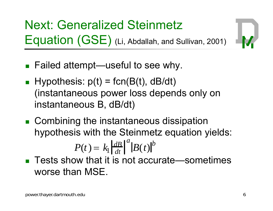Next: Generalized Steinmetz  $\mathsf{Equation}\ (\mathsf{GSE})$  (Li, Abdallah, and Sullivan, 2001)



- $\blacksquare$  Failed attempt—useful to see why.
- $\blacksquare$  Hypothesis:  $p(t)$  = fcn(B(t), dB/dt) (instantaneous power loss depends only on instantaneous B, dB/dt)
- **EX Combining the instantaneous dissipation** hypothesis with the Steinmetz equation yields:

$$
P(t) = k_1 \left| \frac{dB}{dt} \right|^a \left| B(t) \right|^b
$$

■ Tests show that it is not accurate—sometimes worse than  ${\sf MSE}.$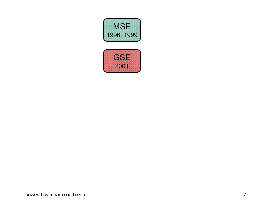

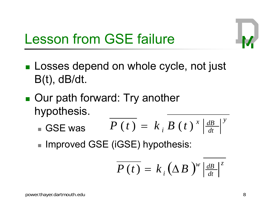

## Lesson from GSE failure

- $\textcolor{red}{\bullet}$  Losses depend on whole cycle, not just B(t), dB/dt.
- ■ Our path forward: Try another hypothesis.
	- GSE was *y dt* $P(t) = k_{i} B(t)^{x} \frac{dB}{dt}$  $=$   $k$ <sub>i</sub>  $B$  (*t*)
	- $\blacksquare$  Improved GSE (iGSE) hypothesis:

$$
\overline{P(t)} = k_{i} (\Delta B)^{w} \left| \frac{dB}{dt} \right|^{z}
$$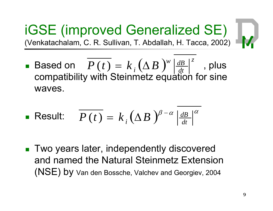iGSE (improved Generalized SE) (Venkatachalam, C. R. Sullivan, T. Abdallah, H. Tacca, 2002)



 $\overline{\phantom{a}}$ Based on  $\overline{P\left(t\right)}=k_{\overline{i}}\left(\Delta B\right)^{\scriptscriptstyle{W}}\left|\frac{dB}{dt}\right|^{\scriptscriptstyle{Z}}$  , plus  $\begin{array}{cc} \textsf{d} & \textsf{on} & P\left(t\right) \end{array}$  $= k_{i} (\Delta B)^{w} \left| \frac{dB}{dt} \right|^{z}$  , plu compatibility with Steinmetz equation for sine waves.

**Result:** 
$$
\overline{P(t)} = k_i (\Delta B)^{\beta - \alpha} \left| \frac{dB}{dt} \right|^{\alpha}
$$

■ Two years later, independently discovered and named the Natural Steinmetz Extension (NSE) by Van den Bossche, Valchev and Georgiev, 2004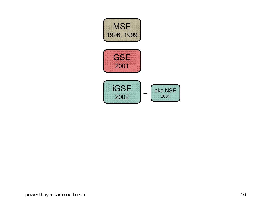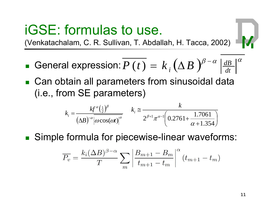## iGSE: formulas to use.

(Venkatachalam, C. R. Sullivan, T. Abdallah, H. Tacca, 2002)

- General expression:  $\overline{P\left(t\right)}=k_{\overline{i}}\left(\Delta B\ \right)^{\!\beta-\alpha}\left|\frac{dB}{dt}\right|^\alpha$  $P(t) = k_A(\Delta B)$ l expression:  $P\left(\,t\,\right)=\,k_{\,i}\,(\Delta\,B\,\left)^{\!\nu\,-}$  $= k_i (\Delta B)^{\nu - \alpha} \left| \frac{dB}{dt} \right|$
- Can obtain all parameters from sinusoidal data (i.e., from SE parameters)

$$
k_i = \frac{k f^{\alpha}(\frac{1}{2})^{\beta}}{(\Delta B)^{-\alpha} |\omega \cos(\omega t)|^{\alpha}} \qquad k_i \approx \frac{k}{2^{\beta+1} \pi^{\alpha-1} \left( 0.2761 + \frac{1.7061}{\alpha+1.354} \right)}
$$

■ Simple formula for piecewise-linear waveforms:

$$
\overline{P_v} = \frac{k_i(\Delta B)^{\beta - \alpha}}{T} \sum_m \left| \frac{B_{m+1} - B_m}{t_{m+1} - t_m} \right|^\alpha (t_{m+1} - t_m)
$$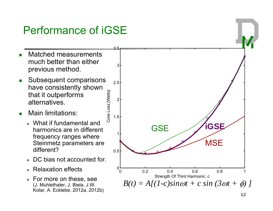### Performance of iGSE

- Matched measurements much better than either previous method.
- ີ ທີ  $\mathbf{r}$  Subsequent comparisons have consistently shown that it outperforms<br>alternatives.
- $\blacksquare$  Main limitations:
	- What if fundamental and harmonics are in different frequency ranges where different?
	- $\blacksquare$ DC bias not accounted for.
	- $\blacksquare$ Relaxation effects
	- For more on these, see (J. Muhlethaler, J. Biela, J.W. Kolar, A. Ecklebe, 2012a, 2012b)

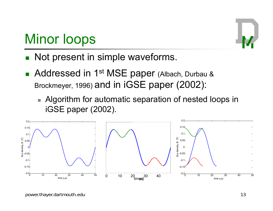## Minor loops

- **Not present in simple waveforms.**
- **Addressed in 1st MSE paper (Albach, Durbau &** Brockmeyer, 1996) and in iGSE paper (2002):
	- $\blacksquare$  Algorithm for automatic separation of nested loops in iGSE paper (2002).

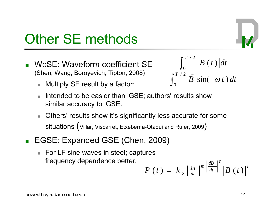### power.thayer.dartmouth.edu 14

# Other SE methods

- Π • WcSE: Waveform coefficient SE  $\qquad \qquad \qquad |B(t)|^d$  (Shen, Wang, Boroyevich, Tipton, 2008)
	- Multiply SE result by a factor:
	- Intended to be easier than iGSE; authors' results show similar accuracy to iGSE.
	- $\overline{\phantom{a}}$  $\blacksquare$  Others' results show it's significantly less accurate for some situations (Villar, Viscarret, Etxeberria-Otadui and Rufer, 2009 )
- EGSE: Expanded GSE (Chen, 2009)
	- $\blacksquare$  For LF sine waves in steel; captures frequency dependence better.

$$
P(t) = k_2 \left| \frac{dB}{dt} \right|^m \left| \frac{dB}{dt} \right|^e \left| B(t) \right|^n
$$

$$
\int_0^{T/2} \frac{B(t)}{t} dt
$$
  

$$
\int_0^{T/2} \hat{B} \sin(\omega t) dt
$$

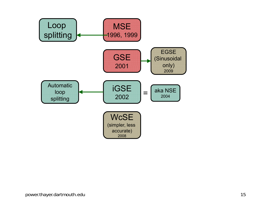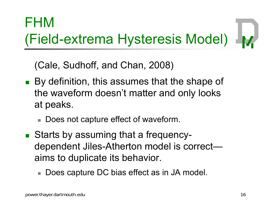# FHM (Field-extrema Hysteresis Model)

 $(Cale, Sudhoff, and Chan, 2008)$ 

- By definition, this assumes that the shape of the waveform doesn't matter and only looks at peaks.
	- $\blacksquare$  Does not capture effect of waveform.
- Starts by assuming that a frequencydependent Jiles-Atherton model is correct aims to duplicate its behavior.
	- Does capture DC bias effect as in JA model.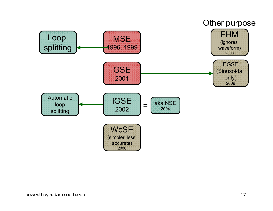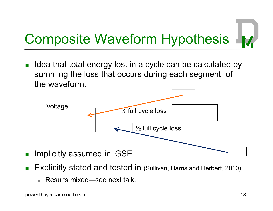### Composite Waveform Hypothesis M.

Π  $\blacksquare$  Idea that total energy lost in a cycle can be calculated by summing the loss that occurs during each segment of the waveform.



- $\overline{\mathcal{L}}$ ■ Explicitly stated and tested in (Sullivan, Harris and Herbert, 2010)
	- Results mixed—see next talk.

Π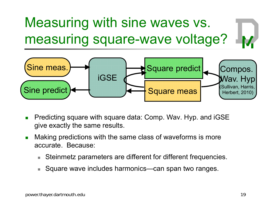### Measuring with sine waves vs. **V** measuring square-wave voltage?



- $\overline{\phantom{a}}$ ■ Predicting square with square data: Comp. Wav. Hyp. and iGSE give exactly the same results.
- $\mathcal{L}_{\mathcal{A}}$  Making predictions with the same class of waveforms is more accurate. Because:
	- Steinmetz parameters are different for different frequencies.
	- Square wave includes harmonics—can span two ranges.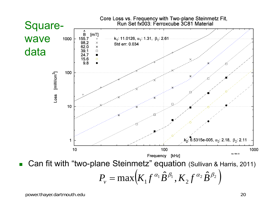

 $\overline{\mathcal{L}}$ Can fit with "two-plane Steinmetz" equation (Sullivan & Harris, 2011)

$$
P_v = \max(K_1 f^{\alpha_1} \hat{B}^{\beta_1}, K_2 f^{\alpha_2} \hat{B}^{\beta_2})
$$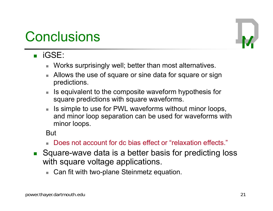### **Conclusions**



- iGSE:
	- $\blacksquare$  Works surprisingly well; better than most alternatives.
	- **Allows the use of square or sine data for square or sign** predictions.
	- Is equivalent to the composite waveform hypothesis for square predictions with square waveforms.
	- Is simple to use for PWL waveforms without minor loops, and minor loop separation can be used for waveforms with minor loops.

**But** 

- Does not account for dc bias effect or "relaxation effects."
- Square-wave data is a better basis for predicting loss with square voltage applications.
	- $\blacksquare$  Can fit with two-plane Steinmetz equation.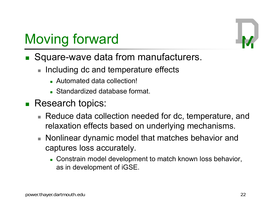# Moving forward

- Square-wave data from manufacturers.
	- п Including dc and temperature effects
		- Automated data collection!
		- **Standardized database format.**
- Research topics:
	- $\blacksquare$  Reduce data collection needed for dc, temperature, and relaxation effects based on underlying mechanisms.
	- Nonlinear dynamic model that matches behavior and captures loss accurately.
		- Constrain model development to match known loss behavior, as in development of iGSE.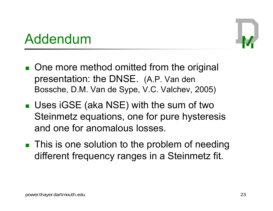### Addendum



- **One more method omitted from the original** presentation: the DNSE. (A.P. Van den Bossche, D.M. Van de Sype, V.C. Valchev, 2005)
- Uses iGSE (aka NSE) with the sum of two Steinmetz equations, one for pure hysteresis and one for anomalous losses.
- $\blacksquare$  This is one solution to the problem of needing different frequency ranges in a Steinmetz fit.